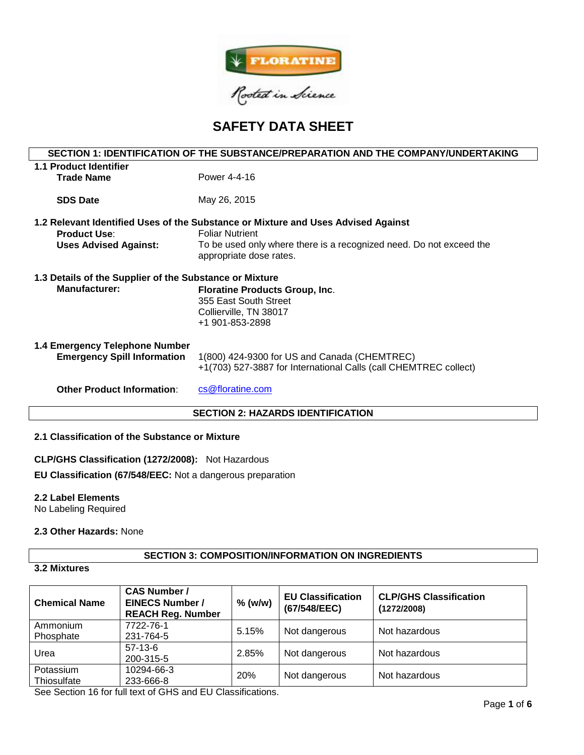

# **SAFETY DATA SHEET**

| SECTION 1: IDENTIFICATION OF THE SUBSTANCE/PREPARATION AND THE COMPANY/UNDERTAKING |                                                                                   |  |  |  |  |
|------------------------------------------------------------------------------------|-----------------------------------------------------------------------------------|--|--|--|--|
| <b>1.1 Product Identifier</b>                                                      |                                                                                   |  |  |  |  |
| <b>Trade Name</b>                                                                  | Power 4-4-16                                                                      |  |  |  |  |
|                                                                                    |                                                                                   |  |  |  |  |
| <b>SDS Date</b>                                                                    | May 26, 2015                                                                      |  |  |  |  |
|                                                                                    |                                                                                   |  |  |  |  |
|                                                                                    | 1.2 Relevant Identified Uses of the Substance or Mixture and Uses Advised Against |  |  |  |  |
| <b>Product Use:</b>                                                                | <b>Foliar Nutrient</b>                                                            |  |  |  |  |
| <b>Uses Advised Against:</b>                                                       | To be used only where there is a recognized need. Do not exceed the               |  |  |  |  |
|                                                                                    | appropriate dose rates.                                                           |  |  |  |  |
|                                                                                    |                                                                                   |  |  |  |  |
| 1.3 Details of the Supplier of the Substance or Mixture                            |                                                                                   |  |  |  |  |
| <b>Manufacturer:</b>                                                               | <b>Floratine Products Group, Inc.</b>                                             |  |  |  |  |
|                                                                                    | 355 East South Street                                                             |  |  |  |  |
|                                                                                    | Collierville, TN 38017                                                            |  |  |  |  |
|                                                                                    | +1 901-853-2898                                                                   |  |  |  |  |
|                                                                                    |                                                                                   |  |  |  |  |
| 1.4 Emergency Telephone Number                                                     |                                                                                   |  |  |  |  |
| <b>Emergency Spill Information</b>                                                 | 1(800) 424-9300 for US and Canada (CHEMTREC)                                      |  |  |  |  |
|                                                                                    | +1(703) 527-3887 for International Calls (call CHEMTREC collect)                  |  |  |  |  |
| <b>Other Product Information:</b>                                                  | cs@floratine.com                                                                  |  |  |  |  |
|                                                                                    |                                                                                   |  |  |  |  |
| <b>SECTION 2: HAZARDS IDENTIFICATION</b>                                           |                                                                                   |  |  |  |  |

# **2.1 Classification of the Substance or Mixture**

**CLP/GHS Classification (1272/2008):** Not Hazardous

**EU Classification (67/548/EEC:** Not a dangerous preparation

# **2.2 Label Elements**

No Labeling Required

# **2.3 Other Hazards:** None

# **SECTION 3: COMPOSITION/INFORMATION ON INGREDIENTS**

# **3.2 Mixtures**

| <b>Chemical Name</b>     | <b>CAS Number /</b><br><b>EINECS Number /</b><br><b>REACH Reg. Number</b> | $%$ (w/w)  | <b>EU Classification</b><br>(67/548/EEC) | <b>CLP/GHS Classification</b><br>(1272/2008) |
|--------------------------|---------------------------------------------------------------------------|------------|------------------------------------------|----------------------------------------------|
| Ammonium<br>Phosphate    | 7722-76-1<br>231-764-5                                                    | 5.15%      | Not dangerous                            | Not hazardous                                |
| Urea                     | $57-13-6$<br>200-315-5                                                    | 2.85%      | Not dangerous                            | Not hazardous                                |
| Potassium<br>Thiosulfate | 10294-66-3<br>233-666-8                                                   | <b>20%</b> | Not dangerous                            | Not hazardous                                |

See Section 16 for full text of GHS and EU Classifications.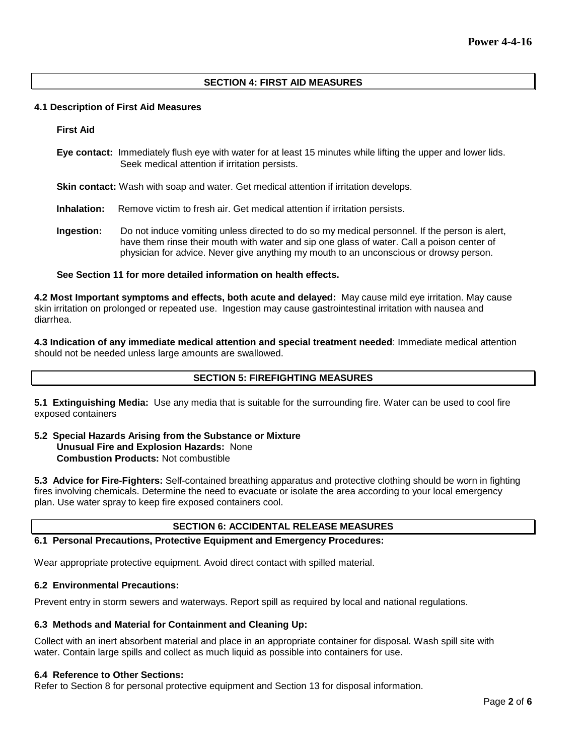## **SECTION 4: FIRST AID MEASURES**

#### **4.1 Description of First Aid Measures**

**First Aid**

**Eye contact:** Immediately flush eye with water for at least 15 minutes while lifting the upper and lower lids. Seek medical attention if irritation persists.

**Skin contact:** Wash with soap and water. Get medical attention if irritation develops.

- **Inhalation:** Remove victim to fresh air. Get medical attention if irritation persists.
- **Ingestion:** Do not induce vomiting unless directed to do so my medical personnel. If the person is alert, have them rinse their mouth with water and sip one glass of water. Call a poison center of physician for advice. Never give anything my mouth to an unconscious or drowsy person.

#### **See Section 11 for more detailed information on health effects.**

**4.2 Most Important symptoms and effects, both acute and delayed:** May cause mild eye irritation. May cause skin irritation on prolonged or repeated use. Ingestion may cause gastrointestinal irritation with nausea and diarrhea.

**4.3 Indication of any immediate medical attention and special treatment needed**: Immediate medical attention should not be needed unless large amounts are swallowed.

## **SECTION 5: FIREFIGHTING MEASURES**

**5.1 Extinguishing Media:** Use any media that is suitable for the surrounding fire. Water can be used to cool fire exposed containers

**5.2 Special Hazards Arising from the Substance or Mixture Unusual Fire and Explosion Hazards:** None **Combustion Products:** Not combustible

**5.3 Advice for Fire-Fighters:** Self-contained breathing apparatus and protective clothing should be worn in fighting fires involving chemicals. Determine the need to evacuate or isolate the area according to your local emergency plan. Use water spray to keep fire exposed containers cool.

#### **SECTION 6: ACCIDENTAL RELEASE MEASURES**

#### **6.1 Personal Precautions, Protective Equipment and Emergency Procedures:**

Wear appropriate protective equipment. Avoid direct contact with spilled material.

#### **6.2 Environmental Precautions:**

Prevent entry in storm sewers and waterways. Report spill as required by local and national regulations.

## **6.3 Methods and Material for Containment and Cleaning Up:**

Collect with an inert absorbent material and place in an appropriate container for disposal. Wash spill site with water. Contain large spills and collect as much liquid as possible into containers for use.

#### **6.4 Reference to Other Sections:**

Refer to Section 8 for personal protective equipment and Section 13 for disposal information.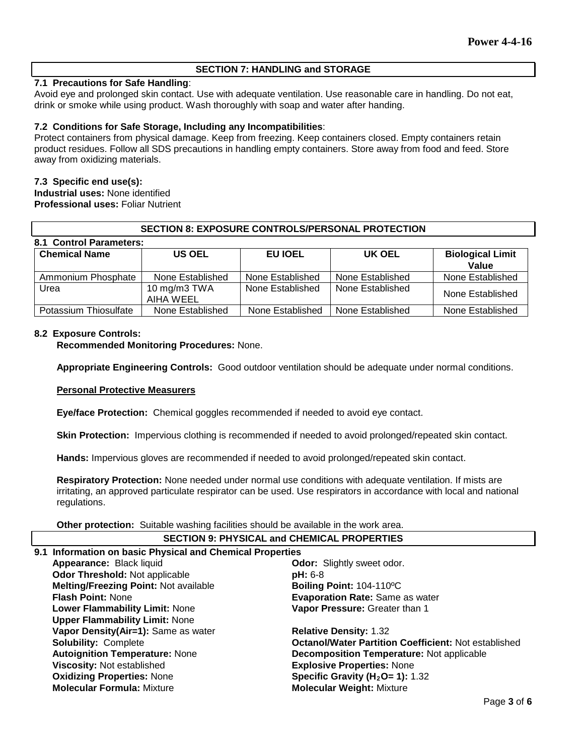## **SECTION 7: HANDLING and STORAGE**

## **7.1 Precautions for Safe Handling**:

Avoid eye and prolonged skin contact. Use with adequate ventilation. Use reasonable care in handling. Do not eat, drink or smoke while using product. Wash thoroughly with soap and water after handing.

## **7.2 Conditions for Safe Storage, Including any Incompatibilities**:

Protect containers from physical damage. Keep from freezing. Keep containers closed. Empty containers retain product residues. Follow all SDS precautions in handling empty containers. Store away from food and feed. Store away from oxidizing materials.

#### **7.3 Specific end use(s):**

**Industrial uses:** None identified **Professional uses:** Foliar Nutrient

| <b>SECTION 8: EXPOSURE CONTROLS/PERSONAL PROTECTION</b> |                           |                  |                  |                                  |  |
|---------------------------------------------------------|---------------------------|------------------|------------------|----------------------------------|--|
| 8.1 Control Parameters:                                 |                           |                  |                  |                                  |  |
| <b>Chemical Name</b>                                    | <b>US OEL</b>             | EU IOEL          | UK OEL           | <b>Biological Limit</b><br>Value |  |
| Ammonium Phosphate                                      | None Established          | None Established | None Established | None Established                 |  |
| Urea                                                    | 10 mg/m3 TWA<br>AIHA WEEL | None Established | None Established | None Established                 |  |
| Potassium Thiosulfate                                   | None Established          | None Established | None Established | None Established                 |  |

#### **8.2 Exposure Controls:**

**Recommended Monitoring Procedures:** None.

**Appropriate Engineering Controls:** Good outdoor ventilation should be adequate under normal conditions.

#### **Personal Protective Measurers**

**Eye/face Protection:** Chemical goggles recommended if needed to avoid eye contact.

**Skin Protection:** Impervious clothing is recommended if needed to avoid prolonged/repeated skin contact.

**Hands:** Impervious gloves are recommended if needed to avoid prolonged/repeated skin contact.

**Respiratory Protection:** None needed under normal use conditions with adequate ventilation. If mists are irritating, an approved particulate respirator can be used. Use respirators in accordance with local and national regulations.

**Other protection:** Suitable washing facilities should be available in the work area.

| <b>SECTION 9: PHYSICAL and CHEMICAL PROPERTIES</b>            |                                                             |  |  |  |
|---------------------------------------------------------------|-------------------------------------------------------------|--|--|--|
| 9.1 Information on basic Physical and Chemical Properties     |                                                             |  |  |  |
| Appearance: Black liquid<br><b>Odor:</b> Slightly sweet odor. |                                                             |  |  |  |
| <b>Odor Threshold: Not applicable</b>                         | $pH: 6-8$                                                   |  |  |  |
| <b>Melting/Freezing Point: Not available</b>                  | Boiling Point: 104-110°C                                    |  |  |  |
| <b>Flash Point: None</b>                                      | <b>Evaporation Rate: Same as water</b>                      |  |  |  |
| <b>Lower Flammability Limit: None</b>                         | Vapor Pressure: Greater than 1                              |  |  |  |
| <b>Upper Flammability Limit: None</b>                         |                                                             |  |  |  |
| Vapor Density(Air=1): Same as water                           | <b>Relative Density: 1.32</b>                               |  |  |  |
| <b>Solubility: Complete</b>                                   | <b>Octanol/Water Partition Coefficient: Not established</b> |  |  |  |
| <b>Autoignition Temperature: None</b>                         | <b>Decomposition Temperature: Not applicable</b>            |  |  |  |
| Viscosity: Not established                                    | <b>Explosive Properties: None</b>                           |  |  |  |
| <b>Oxidizing Properties: None</b>                             | Specific Gravity ( $H_2O = 1$ ): 1.32                       |  |  |  |
| <b>Molecular Formula: Mixture</b>                             | <b>Molecular Weight: Mixture</b>                            |  |  |  |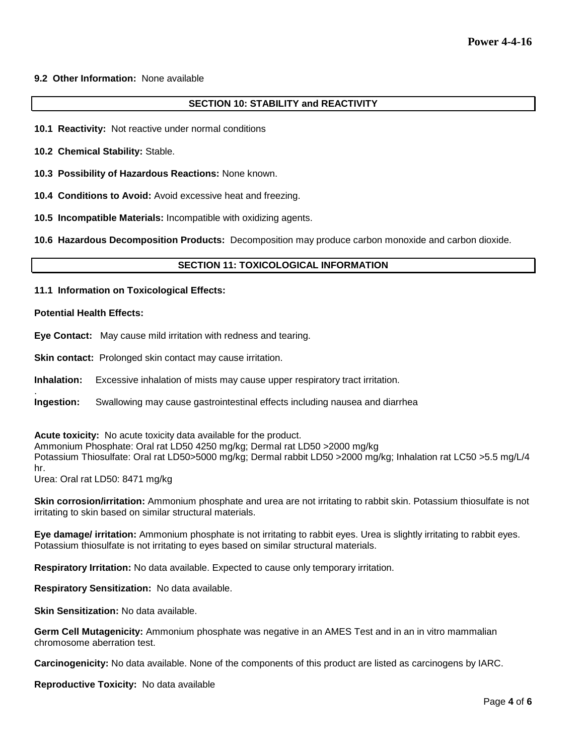## **9.2 Other Information:** None available

## **SECTION 10: STABILITY and REACTIVITY**

- **10.1 Reactivity:** Not reactive under normal conditions
- **10.2 Chemical Stability:** Stable.
- **10.3 Possibility of Hazardous Reactions:** None known.
- **10.4 Conditions to Avoid:** Avoid excessive heat and freezing.
- **10.5 Incompatible Materials:** Incompatible with oxidizing agents.

**10.6 Hazardous Decomposition Products:** Decomposition may produce carbon monoxide and carbon dioxide.

#### **SECTION 11: TOXICOLOGICAL INFORMATION**

**11.1 Information on Toxicological Effects:** 

#### **Potential Health Effects:**

.

**Eye Contact:** May cause mild irritation with redness and tearing.

**Skin contact:** Prolonged skin contact may cause irritation.

**Inhalation:** Excessive inhalation of mists may cause upper respiratory tract irritation.

**Ingestion:** Swallowing may cause gastrointestinal effects including nausea and diarrhea

**Acute toxicity:** No acute toxicity data available for the product.

Ammonium Phosphate: Oral rat LD50 4250 mg/kg; Dermal rat LD50 >2000 mg/kg Potassium Thiosulfate: Oral rat LD50>5000 mg/kg; Dermal rabbit LD50 >2000 mg/kg; Inhalation rat LC50 >5.5 mg/L/4 hr.

Urea: Oral rat LD50: 8471 mg/kg

**Skin corrosion/irritation:** Ammonium phosphate and urea are not irritating to rabbit skin. Potassium thiosulfate is not irritating to skin based on similar structural materials.

**Eye damage/ irritation:** Ammonium phosphate is not irritating to rabbit eyes. Urea is slightly irritating to rabbit eyes. Potassium thiosulfate is not irritating to eyes based on similar structural materials.

**Respiratory Irritation:** No data available. Expected to cause only temporary irritation.

**Respiratory Sensitization:** No data available.

**Skin Sensitization:** No data available.

**Germ Cell Mutagenicity:** Ammonium phosphate was negative in an AMES Test and in an in vitro mammalian chromosome aberration test.

**Carcinogenicity:** No data available. None of the components of this product are listed as carcinogens by IARC.

**Reproductive Toxicity:** No data available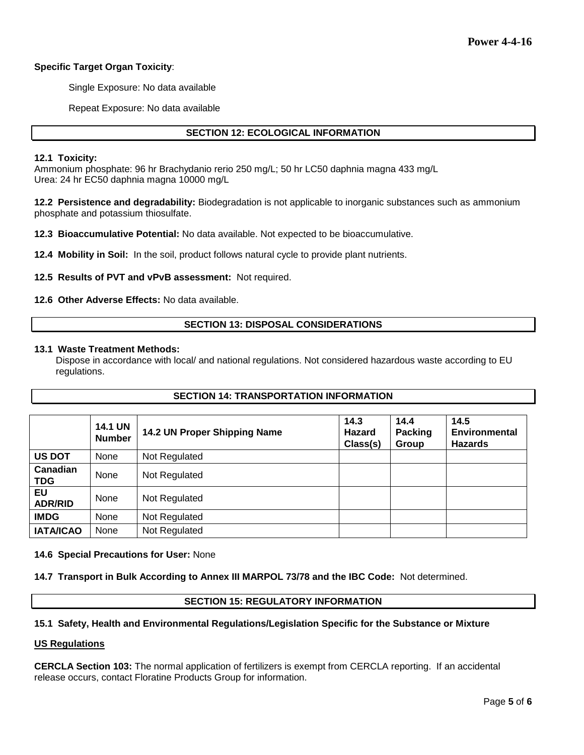# **Specific Target Organ Toxicity**:

Single Exposure: No data available

Repeat Exposure: No data available

# **SECTION 12: ECOLOGICAL INFORMATION**

## **12.1 Toxicity:**

Ammonium phosphate: 96 hr Brachydanio rerio 250 mg/L; 50 hr LC50 daphnia magna 433 mg/L Urea: 24 hr EC50 daphnia magna 10000 mg/L

**12.2 Persistence and degradability:** Biodegradation is not applicable to inorganic substances such as ammonium phosphate and potassium thiosulfate.

**12.3 Bioaccumulative Potential:** No data available. Not expected to be bioaccumulative.

**12.4 Mobility in Soil:** In the soil, product follows natural cycle to provide plant nutrients.

**12.5 Results of PVT and vPvB assessment:** Not required.

**12.6 Other Adverse Effects:** No data available.

## **SECTION 13: DISPOSAL CONSIDERATIONS**

#### **13.1 Waste Treatment Methods:**

Dispose in accordance with local/ and national regulations. Not considered hazardous waste according to EU regulations.

# **SECTION 14: TRANSPORTATION INFORMATION**

|                        | <b>14.1 UN</b><br><b>Number</b> | 14.2 UN Proper Shipping Name | 14.3<br><b>Hazard</b><br>Class(s) | 14.4<br><b>Packing</b><br>Group | 14.5<br><b>Environmental</b><br><b>Hazards</b> |
|------------------------|---------------------------------|------------------------------|-----------------------------------|---------------------------------|------------------------------------------------|
| <b>US DOT</b>          | None                            | Not Regulated                |                                   |                                 |                                                |
| Canadian<br><b>TDG</b> | None                            | Not Regulated                |                                   |                                 |                                                |
| EU<br><b>ADR/RID</b>   | <b>None</b>                     | Not Regulated                |                                   |                                 |                                                |
| <b>IMDG</b>            | None                            | Not Regulated                |                                   |                                 |                                                |
| <b>IATA/ICAO</b>       | None                            | Not Regulated                |                                   |                                 |                                                |

#### **14.6 Special Precautions for User:** None

**14.7 Transport in Bulk According to Annex III MARPOL 73/78 and the IBC Code:** Not determined.

#### **SECTION 15: REGULATORY INFORMATION**

# **15.1 Safety, Health and Environmental Regulations/Legislation Specific for the Substance or Mixture**

#### **US Regulations**

**CERCLA Section 103:** The normal application of fertilizers is exempt from CERCLA reporting. If an accidental release occurs, contact Floratine Products Group for information.